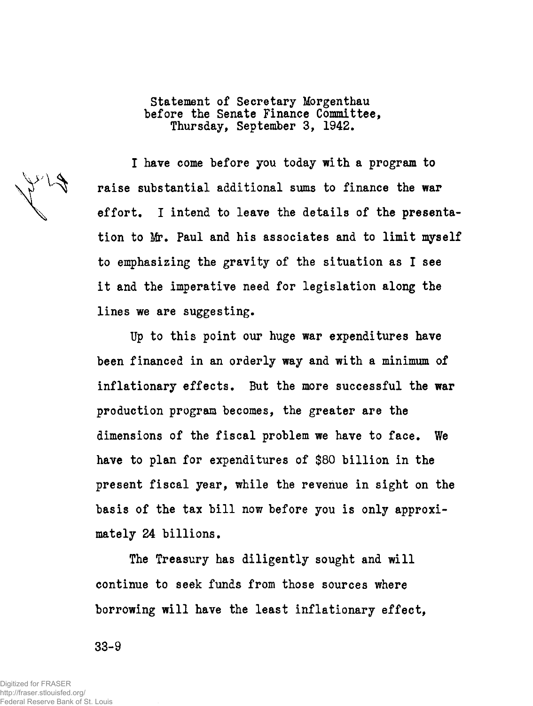Statement of Secretary Morgenthau before the Senate Finance Committee, Thursday, September 3, 1942.

I have come before you today with a program to raise substantial additional sums to finance the war effort. I intend to leave the details of the presentation to Mr. Paul and his associates and to limit myself to emphasizing the gravity of the situation as I see it and the imperative need for legislation along the lines we are suggesting.

Up to this point our huge war expenditures have been financed in an orderly way and with a minimum of inflationary effects. But the more successful the war production program becomes, the greater are the dimensions of the fiscal problem we have to face. We have to plan for expenditures of \$80 billion in the present fiscal year, while the revenue in sight on the basis of the tax bill now before you is only approximately 24 billions.

The Treasury has diligently sought and will continue to seek funds from those sources where borrowing will have the least inflationary effect,

33-9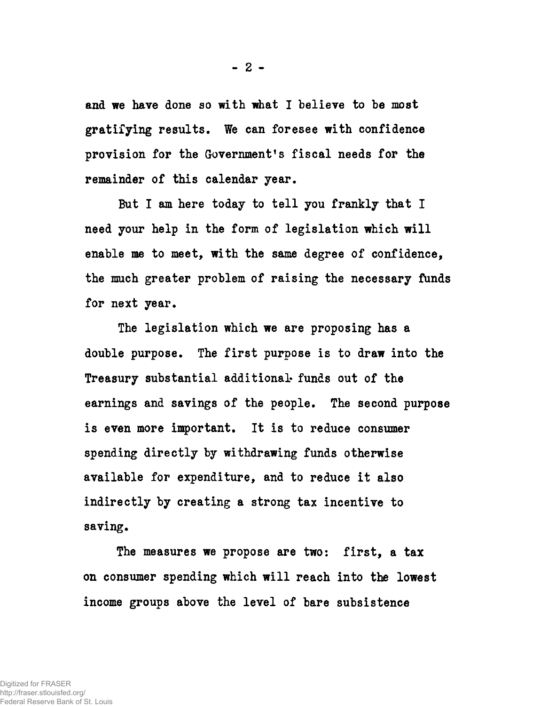and we have done so with what I believe to be most gratifying results. We can foresee with confidence provision for the Government's fiscal needs for the remainder of this calendar year.

But I am here today to tell you frankly that I need your help in the form of legislation which will enable me to meet, with the same degree of confidence, the much greater problem of raising the necessary funds for next year.

The legislation which we are proposing has a double purpose. The first purpose is to draw into the Treasury substantial additional' funds out of the earnings and savings of the people. The second purpose is even more important. It is to reduce consumer spending directly by withdrawing funds otherwise available for expenditure, and to reduce it also indirectly by creating a strong tax incentive to saving.

The measures we propose are two: first, a tax on consumer spending which will reach into the lowest income groups above the level of bare subsistence

**- 2 -**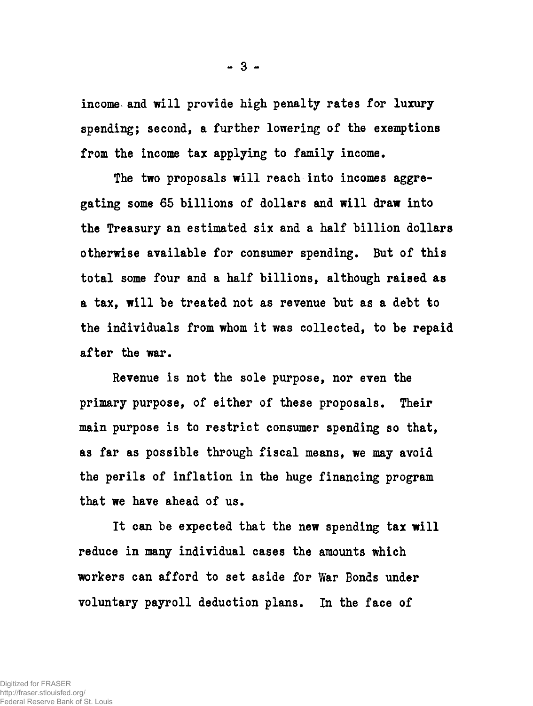income and will provide high penalty rates for luxury spending; second, a further lowering of the exemptions from the income tax applying to family income.

The two proposals will reach into incomes aggregating some 65 billions of dollars and will draw into the Treasury an estimated six and a half billion dollars otherwise available for consumer spending. But of this total some four and a half billions, although raised as a tax, will be treated not as revenue but as a debt to the individuals from whom it was collected, to be repaid after the war.

Revenue is not the sole purpose, nor even the primary purpose, of either of these proposals. Their main purpose is to restrict consumer spending so that, as far as possible through fiscal means, we may avoid the perils of inflation in the huge financing program that we have ahead of us.

It can be expected that the new spending tax will reduce in many individual cases the amounts which workers can afford to set aside for War Bonds under voluntary payroll deduction plans. In the face of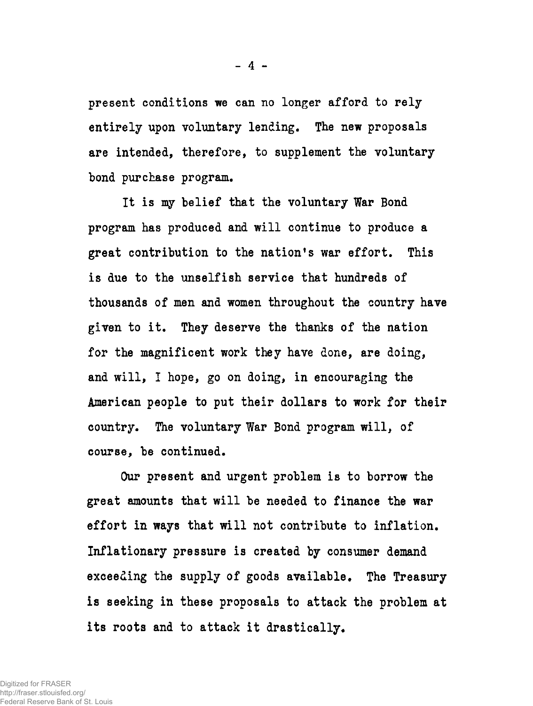present conditions we can no longer afford to rely entirely upon voluntary lending. The new proposals are intended, therefore, to supplement the voluntary bond purchase program.

It is my belief that the voluntary War Bond program has produced and will continue to produce a great contribution to the nation's war effort. This is due to the unselfish service that hundreds of thousands of men and women throughout the country have given to it. They deserve the thanks of the nation for the magnificent work they have done, are doing, and will, I hope, go on doing, in encouraging the American people to put their dollars to work for their country. The voluntary War Bond program will, of course, be continued.

Our present and urgent problem is to borrow the great amounts that will be needed to finance the war effort in ways that will not contribute to inflation. Inflationary pressure is created by consumer demand exceeding the supply of goods available. The Treasury is seeking in these proposals to attack the problem at its roots and to attack it drastically.